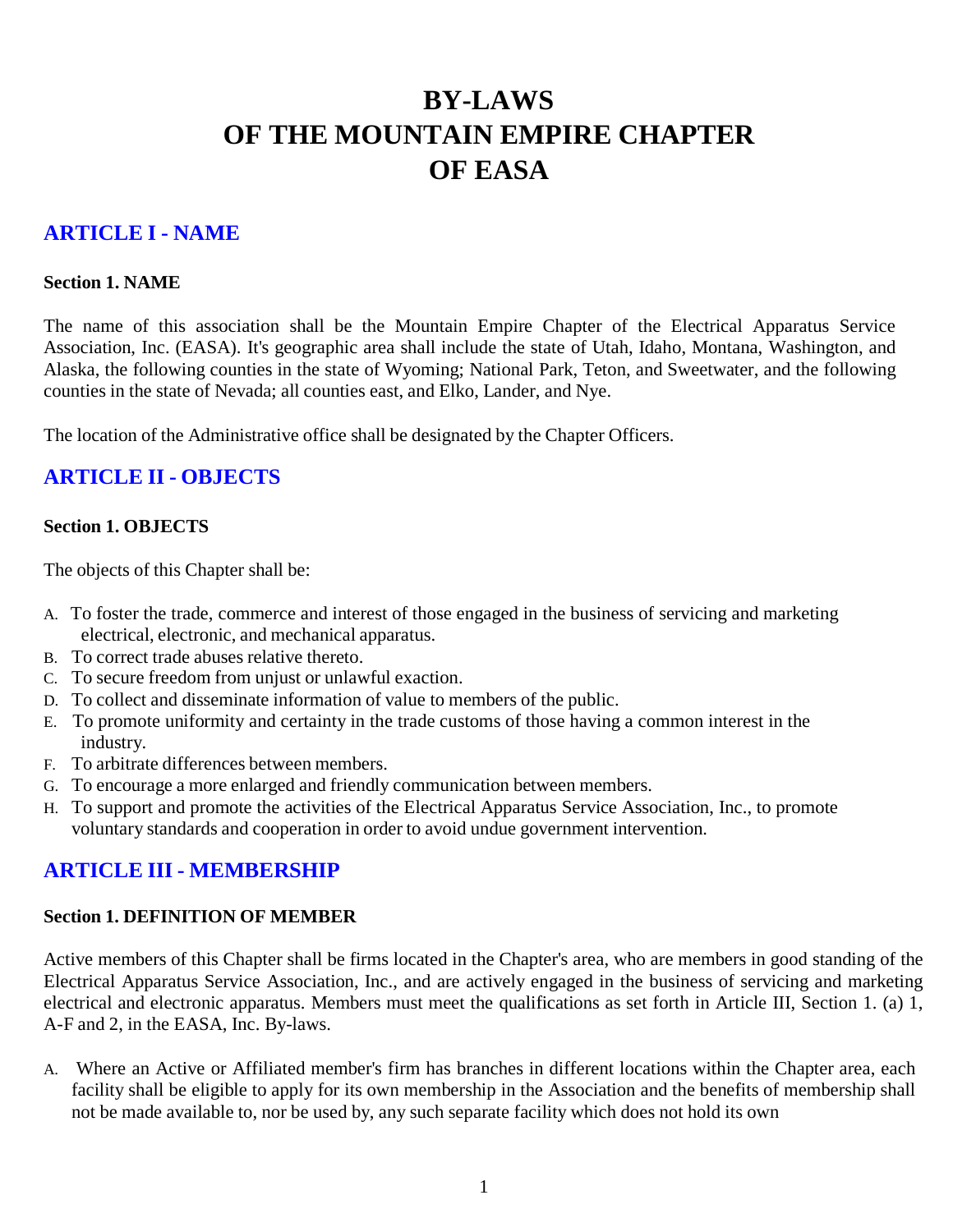# **BY-LAWS OF THE MOUNTAIN EMPIRE CHAPTER OF EASA**

## **ARTICLE I - NAME**

#### **Section 1. NAME**

The name of this association shall be the Mountain Empire Chapter of the Electrical Apparatus Service Association, Inc. (EASA). It's geographic area shall include the state of Utah, Idaho, Montana, Washington, and Alaska, the following counties in the state of Wyoming; National Park, Teton, and Sweetwater, and the following counties in the state of Nevada; all counties east, and Elko, Lander, and Nye.

The location of the Administrative office shall be designated by the Chapter Officers.

## **ARTICLE II - OBJECTS**

#### **Section 1. OBJECTS**

The objects of this Chapter shall be:

- A. To foster the trade, commerce and interest of those engaged in the business of servicing and marketing electrical, electronic, and mechanical apparatus.
- B. To correct trade abuses relative thereto.
- C. To secure freedom from unjust or unlawful exaction.
- D. To collect and disseminate information of value to members of the public.
- E. To promote uniformity and certainty in the trade customs of those having a common interest in the industry.
- F. To arbitrate differences between members.
- G. To encourage a more enlarged and friendly communication between members.
- H. To support and promote the activities of the Electrical Apparatus Service Association, Inc., to promote voluntary standards and cooperation in order to avoid undue government intervention.

## **ARTICLE III - MEMBERSHIP**

#### **Section 1. DEFINITION OF MEMBER**

Active members of this Chapter shall be firms located in the Chapter's area, who are members in good standing of the Electrical Apparatus Service Association, Inc., and are actively engaged in the business of servicing and marketing electrical and electronic apparatus. Members must meet the qualifications as set forth in Article III, Section 1. (a) 1, A-F and 2, in the EASA, Inc. By-laws.

A. Where an Active or Affiliated member's firm has branches in different locations within the Chapter area, each facility shall be eligible to apply for its own membership in the Association and the benefits of membership shall not be made available to, nor be used by, any such separate facility which does not hold its own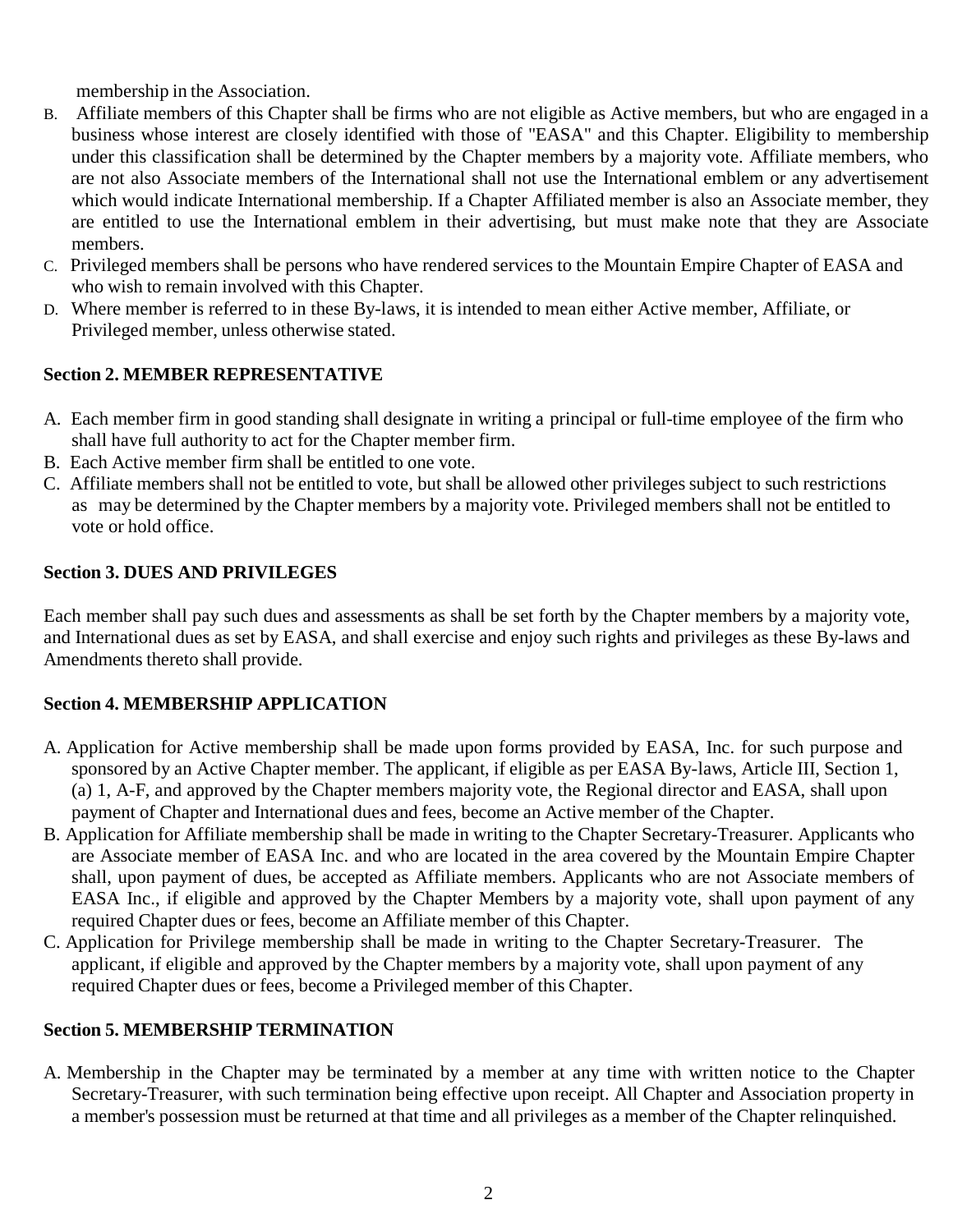membership in the Association.

- B. Affiliate members of this Chapter shall be firms who are not eligible as Active members, but who are engaged in a business whose interest are closely identified with those of "EASA" and this Chapter. Eligibility to membership under this classification shall be determined by the Chapter members by a majority vote. Affiliate members, who are not also Associate members of the International shall not use the International emblem or any advertisement which would indicate International membership. If a Chapter Affiliated member is also an Associate member, they are entitled to use the International emblem in their advertising, but must make note that they are Associate members.
- C. Privileged members shall be persons who have rendered services to the Mountain Empire Chapter of EASA and who wish to remain involved with this Chapter.
- D. Where member is referred to in these By-laws, it is intended to mean either Active member, Affiliate, or Privileged member, unless otherwise stated.

## **Section 2. MEMBER REPRESENTATIVE**

- A. Each member firm in good standing shall designate in writing a principal or full-time employee of the firm who shall have full authority to act for the Chapter member firm.
- B. Each Active member firm shall be entitled to one vote.
- C. Affiliate members shall not be entitled to vote, but shall be allowed other privileges subject to such restrictions as may be determined by the Chapter members by a majority vote. Privileged members shall not be entitled to vote or hold office.

## **Section 3. DUES AND PRIVILEGES**

Each member shall pay such dues and assessments as shall be set forth by the Chapter members by a majority vote, and International dues as set by EASA, and shall exercise and enjoy such rights and privileges as these By-laws and Amendments thereto shall provide.

## **Section 4. MEMBERSHIP APPLICATION**

- A. Application for Active membership shall be made upon forms provided by EASA, Inc. for such purpose and sponsored by an Active Chapter member. The applicant, if eligible as per EASA By-laws, Article III, Section 1, (a) 1, A-F, and approved by the Chapter members majority vote, the Regional director and EASA, shall upon payment of Chapter and International dues and fees, become an Active member of the Chapter.
- B. Application for Affiliate membership shall be made in writing to the Chapter Secretary-Treasurer. Applicants who are Associate member of EASA Inc. and who are located in the area covered by the Mountain Empire Chapter shall, upon payment of dues, be accepted as Affiliate members. Applicants who are not Associate members of EASA Inc., if eligible and approved by the Chapter Members by a majority vote, shall upon payment of any required Chapter dues or fees, become an Affiliate member of this Chapter.
- C. Application for Privilege membership shall be made in writing to the Chapter Secretary-Treasurer. The applicant, if eligible and approved by the Chapter members by a majority vote, shall upon payment of any required Chapter dues or fees, become a Privileged member of this Chapter.

## **Section 5. MEMBERSHIP TERMINATION**

A. Membership in the Chapter may be terminated by a member at any time with written notice to the Chapter Secretary-Treasurer, with such termination being effective upon receipt. All Chapter and Association property in a member's possession must be returned at that time and all privileges as a member of the Chapter relinquished.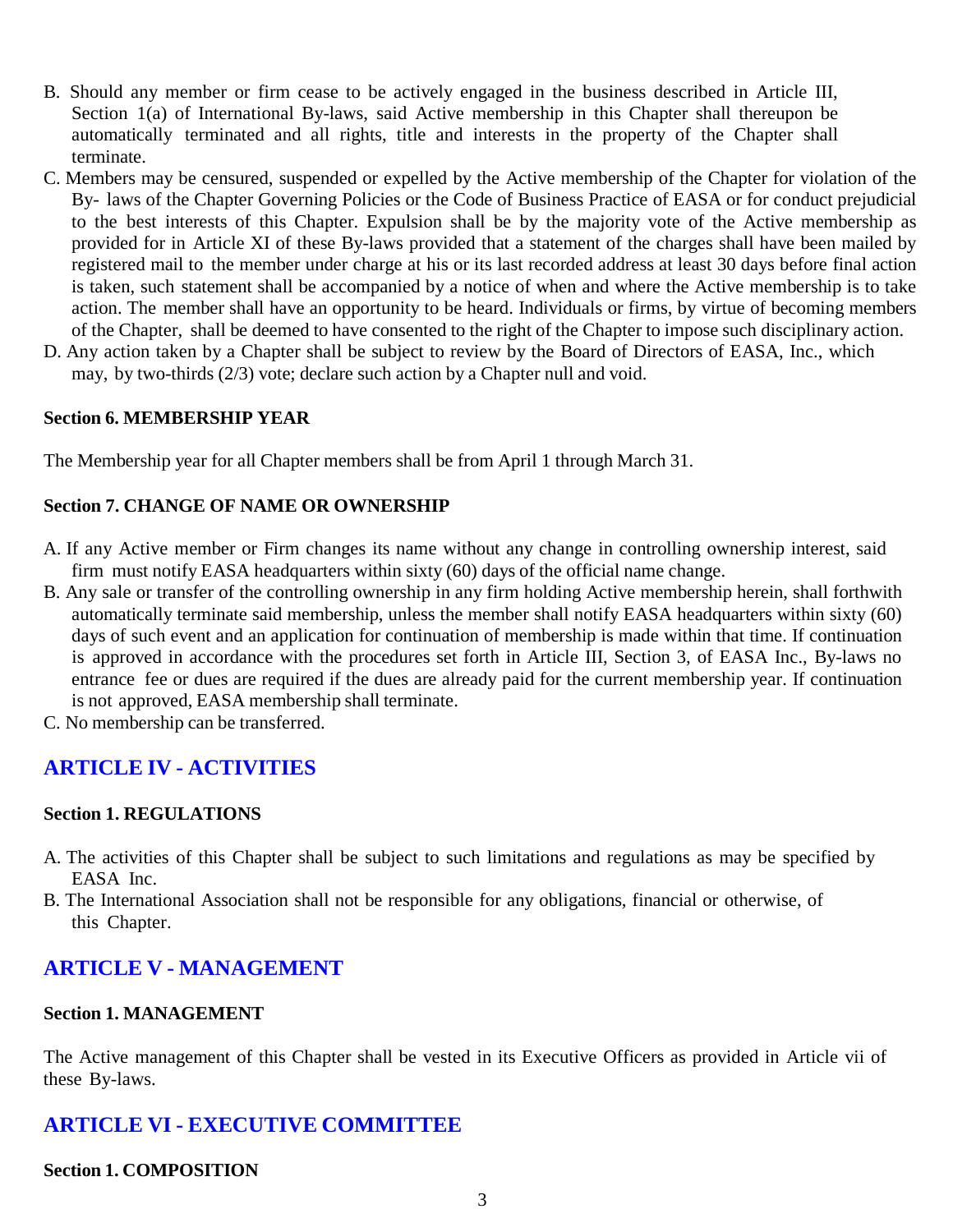- B. Should any member or firm cease to be actively engaged in the business described in Article III, Section 1(a) of International By-laws, said Active membership in this Chapter shall thereupon be automatically terminated and all rights, title and interests in the property of the Chapter shall terminate.
- C. Members may be censured, suspended or expelled by the Active membership of the Chapter for violation of the By- laws of the Chapter Governing Policies or the Code of Business Practice of EASA or for conduct prejudicial to the best interests of this Chapter. Expulsion shall be by the majority vote of the Active membership as provided for in Article XI of these By-laws provided that a statement of the charges shall have been mailed by registered mail to the member under charge at his or its last recorded address at least 30 days before final action is taken, such statement shall be accompanied by a notice of when and where the Active membership is to take action. The member shall have an opportunity to be heard. Individuals or firms, by virtue of becoming members of the Chapter, shall be deemed to have consented to the right of the Chapter to impose such disciplinary action.
- D. Any action taken by a Chapter shall be subject to review by the Board of Directors of EASA, Inc., which may, by two-thirds (2/3) vote; declare such action by a Chapter null and void.

#### **Section 6. MEMBERSHIP YEAR**

The Membership year for all Chapter members shall be from April 1 through March 31.

#### **Section 7. CHANGE OF NAME OR OWNERSHIP**

- A. If any Active member or Firm changes its name without any change in controlling ownership interest, said firm must notify EASA headquarters within sixty (60) days of the official name change.
- B. Any sale or transfer of the controlling ownership in any firm holding Active membership herein, shall forthwith automatically terminate said membership, unless the member shall notify EASA headquarters within sixty (60) days of such event and an application for continuation of membership is made within that time. If continuation is approved in accordance with the procedures set forth in Article III, Section 3, of EASA Inc., By-laws no entrance fee or dues are required if the dues are already paid for the current membership year. If continuation is not approved, EASA membership shall terminate.
- C. No membership can be transferred.

## **ARTICLE IV - ACTIVITIES**

#### **Section 1. REGULATIONS**

- A. The activities of this Chapter shall be subject to such limitations and regulations as may be specified by EASA Inc.
- B. The International Association shall not be responsible for any obligations, financial or otherwise, of this Chapter.

## **ARTICLE V - MANAGEMENT**

#### **Section 1. MANAGEMENT**

The Active management of this Chapter shall be vested in its Executive Officers as provided in Article vii of these By-laws.

## **ARTICLE VI - EXECUTIVE COMMITTEE**

#### **Section 1. COMPOSITION**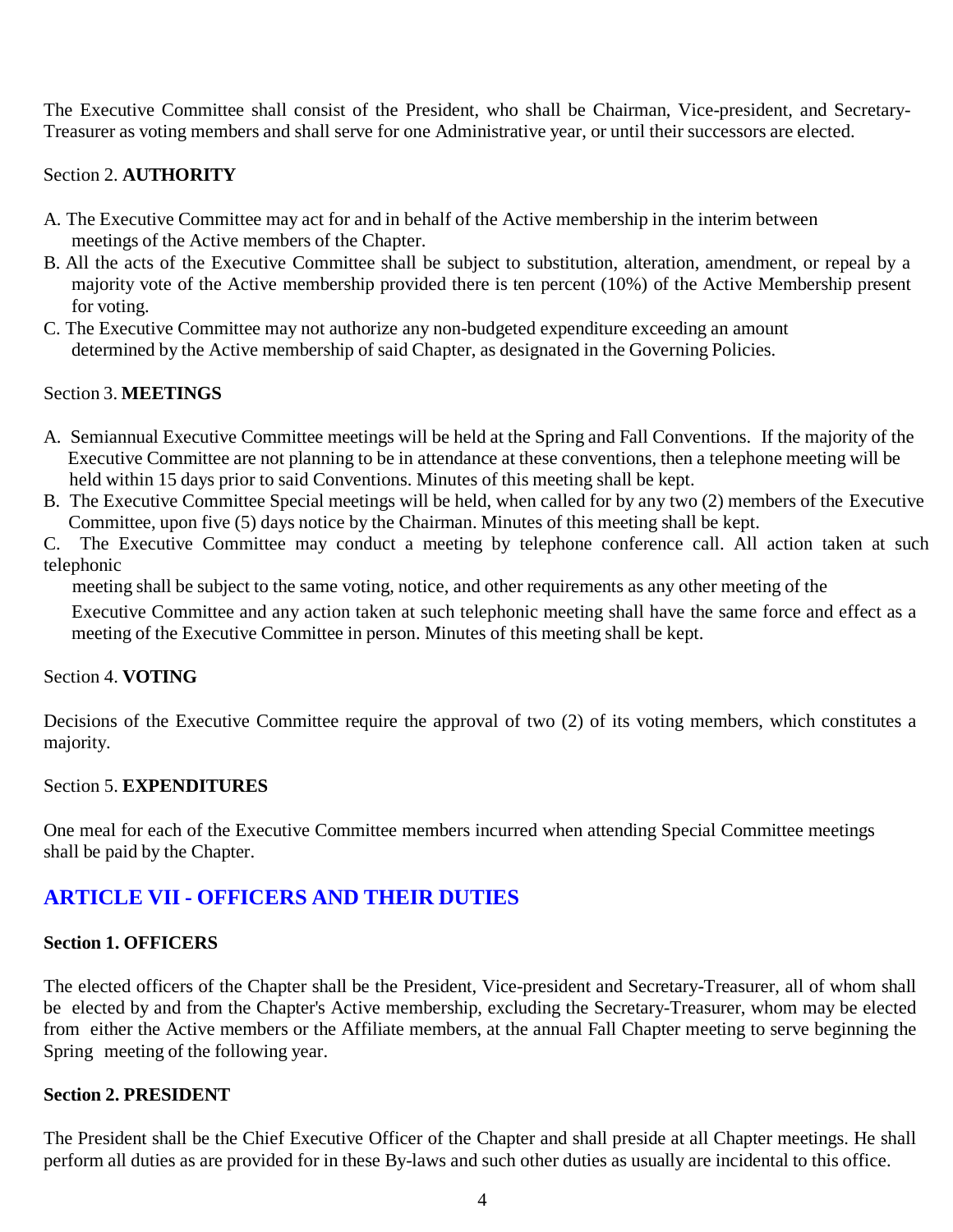The Executive Committee shall consist of the President, who shall be Chairman, Vice-president, and Secretary-Treasurer as voting members and shall serve for one Administrative year, or until their successors are elected.

## Section 2. **AUTHORITY**

- A. The Executive Committee may act for and in behalf of the Active membership in the interim between meetings of the Active members of the Chapter.
- B. All the acts of the Executive Committee shall be subject to substitution, alteration, amendment, or repeal by a majority vote of the Active membership provided there is ten percent (10%) of the Active Membership present for voting.
- C. The Executive Committee may not authorize any non-budgeted expenditure exceeding an amount determined by the Active membership of said Chapter, as designated in the Governing Policies.

## Section 3. **MEETINGS**

- A. Semiannual Executive Committee meetings will be held at the Spring and Fall Conventions. If the majority of the Executive Committee are not planning to be in attendance at these conventions, then a telephone meeting will be held within 15 days prior to said Conventions. Minutes of this meeting shall be kept.
- B. The Executive Committee Special meetings will be held, when called for by any two (2) members of the Executive Committee, upon five (5) days notice by the Chairman. Minutes of this meeting shall be kept.
- C. The Executive Committee may conduct a meeting by telephone conference call. All action taken at such telephonic

meeting shall be subject to the same voting, notice, and other requirements as any other meeting of the

Executive Committee and any action taken at such telephonic meeting shall have the same force and effect as a meeting of the Executive Committee in person. Minutes of this meeting shall be kept.

#### Section 4. **VOTING**

Decisions of the Executive Committee require the approval of two (2) of its voting members, which constitutes a majority.

#### Section 5. **EXPENDITURES**

One meal for each of the Executive Committee members incurred when attending Special Committee meetings shall be paid by the Chapter.

## **ARTICLE VII - OFFICERS AND THEIR DUTIES**

#### **Section 1. OFFICERS**

The elected officers of the Chapter shall be the President, Vice-president and Secretary-Treasurer, all of whom shall be elected by and from the Chapter's Active membership, excluding the Secretary-Treasurer, whom may be elected from either the Active members or the Affiliate members, at the annual Fall Chapter meeting to serve beginning the Spring meeting of the following year.

#### **Section 2. PRESIDENT**

The President shall be the Chief Executive Officer of the Chapter and shall preside at all Chapter meetings. He shall perform all duties as are provided for in these By-laws and such other duties as usually are incidental to this office.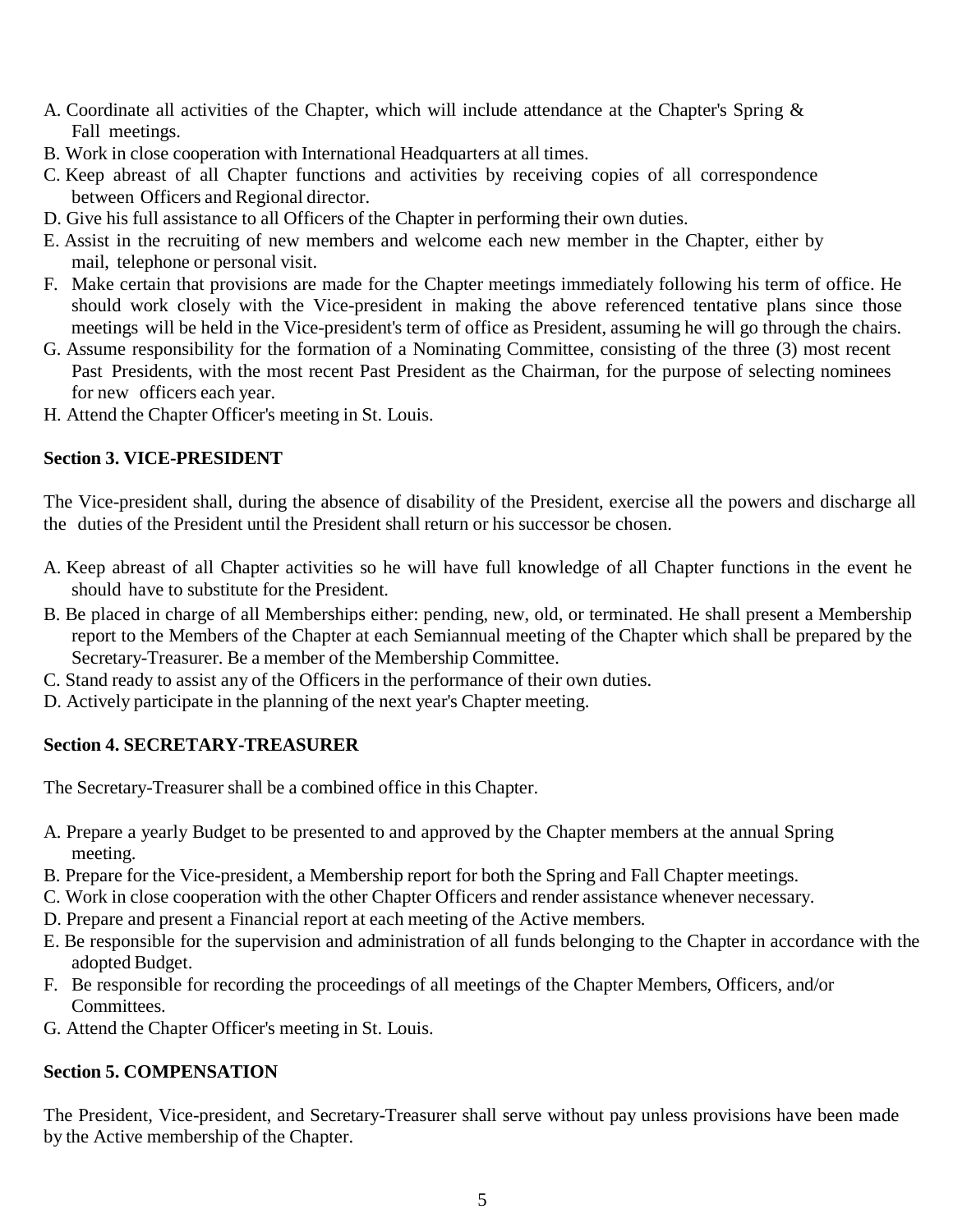- A. Coordinate all activities of the Chapter, which will include attendance at the Chapter's Spring & Fall meetings.
- B. Work in close cooperation with International Headquarters at all times.
- C. Keep abreast of all Chapter functions and activities by receiving copies of all correspondence between Officers and Regional director.
- D. Give his full assistance to all Officers of the Chapter in performing their own duties.
- E. Assist in the recruiting of new members and welcome each new member in the Chapter, either by mail, telephone or personal visit.
- F. Make certain that provisions are made for the Chapter meetings immediately following his term of office. He should work closely with the Vice-president in making the above referenced tentative plans since those meetings will be held in the Vice-president's term of office as President, assuming he will go through the chairs.
- G. Assume responsibility for the formation of a Nominating Committee, consisting of the three (3) most recent Past Presidents, with the most recent Past President as the Chairman, for the purpose of selecting nominees for new officers each year.
- H. Attend the Chapter Officer's meeting in St. Louis.

## **Section 3. VICE-PRESIDENT**

The Vice-president shall, during the absence of disability of the President, exercise all the powers and discharge all the duties of the President until the President shall return or his successor be chosen.

- A. Keep abreast of all Chapter activities so he will have full knowledge of all Chapter functions in the event he should have to substitute for the President.
- B. Be placed in charge of all Memberships either: pending, new, old, or terminated. He shall present a Membership report to the Members of the Chapter at each Semiannual meeting of the Chapter which shall be prepared by the Secretary-Treasurer. Be a member of the Membership Committee.
- C. Stand ready to assist any of the Officers in the performance of their own duties.
- D. Actively participate in the planning of the next year's Chapter meeting.

## **Section 4. SECRETARY-TREASURER**

The Secretary-Treasurer shall be a combined office in this Chapter.

- A. Prepare a yearly Budget to be presented to and approved by the Chapter members at the annual Spring meeting.
- B. Prepare for the Vice-president, a Membership report for both the Spring and Fall Chapter meetings.
- C. Work in close cooperation with the other Chapter Officers and render assistance whenever necessary.
- D. Prepare and present a Financial report at each meeting of the Active members.
- E. Be responsible for the supervision and administration of all funds belonging to the Chapter in accordance with the adopted Budget.
- F. Be responsible for recording the proceedings of all meetings of the Chapter Members, Officers, and/or Committees.
- G. Attend the Chapter Officer's meeting in St. Louis.

## **Section 5. COMPENSATION**

The President, Vice-president, and Secretary-Treasurer shall serve without pay unless provisions have been made by the Active membership of the Chapter.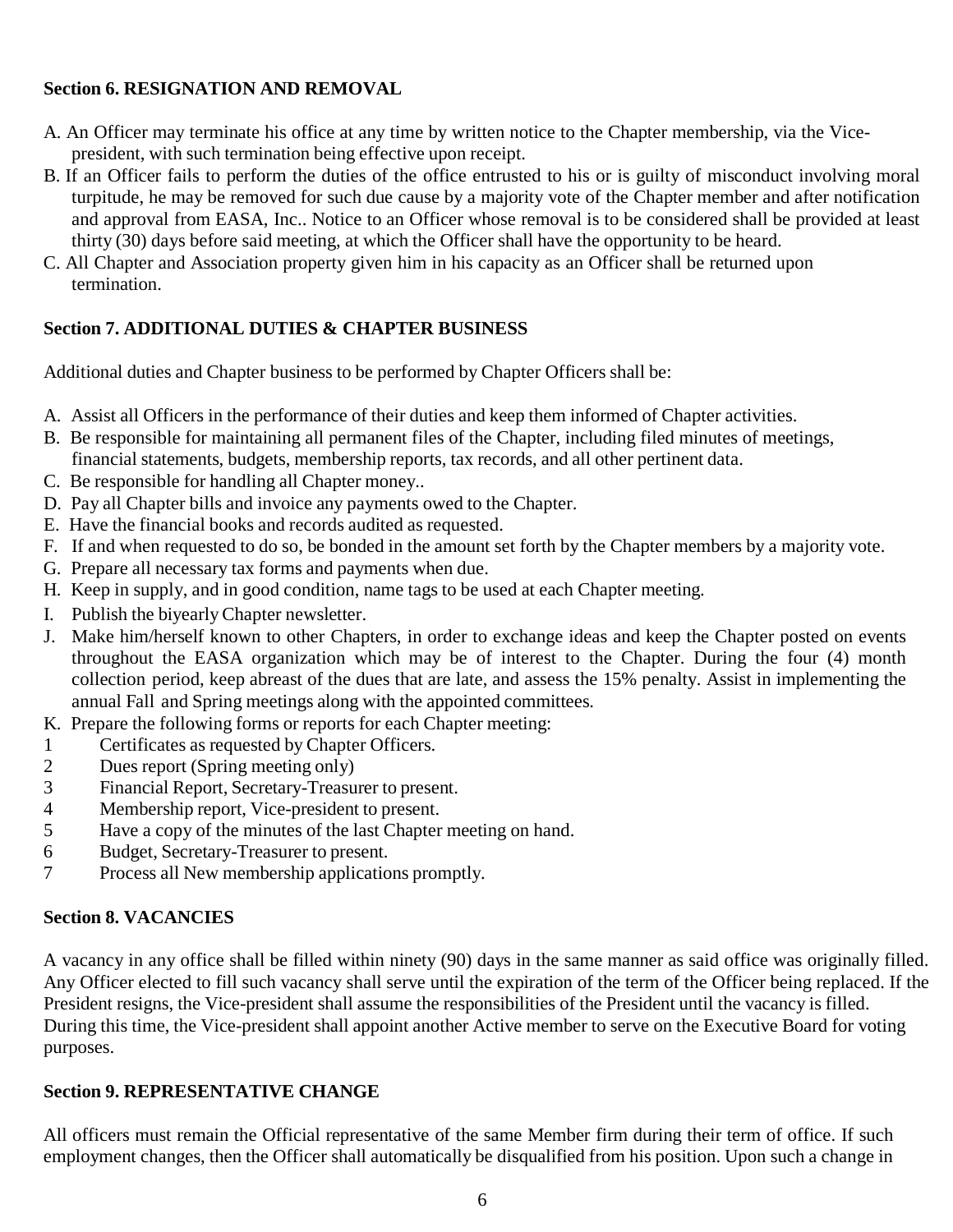## **Section 6. RESIGNATION AND REMOVAL**

- A. An Officer may terminate his office at any time by written notice to the Chapter membership, via the Vicepresident, with such termination being effective upon receipt.
- B. If an Officer fails to perform the duties of the office entrusted to his or is guilty of misconduct involving moral turpitude, he may be removed for such due cause by a majority vote of the Chapter member and after notification and approval from EASA, Inc.. Notice to an Officer whose removal is to be considered shall be provided at least thirty (30) days before said meeting, at which the Officer shall have the opportunity to be heard.
- C. All Chapter and Association property given him in his capacity as an Officer shall be returned upon termination.

## **Section 7. ADDITIONAL DUTIES & CHAPTER BUSINESS**

Additional duties and Chapter business to be performed by Chapter Officers shall be:

- A. Assist all Officers in the performance of their duties and keep them informed of Chapter activities.
- B. Be responsible for maintaining all permanent files of the Chapter, including filed minutes of meetings, financial statements, budgets, membership reports, tax records, and all other pertinent data.
- C. Be responsible for handling all Chapter money..
- D. Pay all Chapter bills and invoice any payments owed to the Chapter.
- E. Have the financial books and records audited as requested.
- F. If and when requested to do so, be bonded in the amount set forth by the Chapter members by a majority vote.
- G. Prepare all necessary tax forms and payments when due.
- H. Keep in supply, and in good condition, name tags to be used at each Chapter meeting.
- I. Publish the biyearly Chapter newsletter.
- J. Make him/herself known to other Chapters, in order to exchange ideas and keep the Chapter posted on events throughout the EASA organization which may be of interest to the Chapter. During the four (4) month collection period, keep abreast of the dues that are late, and assess the 15% penalty. Assist in implementing the annual Fall and Spring meetings along with the appointed committees.
- K. Prepare the following forms or reports for each Chapter meeting:
- 1 Certificates as requested by Chapter Officers.
- 2 Dues report (Spring meeting only)
- 3 Financial Report, Secretary-Treasurer to present.<br>4 Membership report, Vice-president to present.
- Membership report, Vice-president to present.
- 5 Have a copy of the minutes of the last Chapter meeting on hand.
- 6 Budget, Secretary-Treasurer to present.
- 7 Process all New membership applications promptly.

## **Section 8. VACANCIES**

A vacancy in any office shall be filled within ninety (90) days in the same manner as said office was originally filled. Any Officer elected to fill such vacancy shall serve until the expiration of the term of the Officer being replaced. If the President resigns, the Vice-president shall assume the responsibilities of the President until the vacancy is filled. During this time, the Vice-president shall appoint another Active member to serve on the Executive Board for voting purposes.

## **Section 9. REPRESENTATIVE CHANGE**

All officers must remain the Official representative of the same Member firm during their term of office. If such employment changes, then the Officer shall automatically be disqualified from his position. Upon such a change in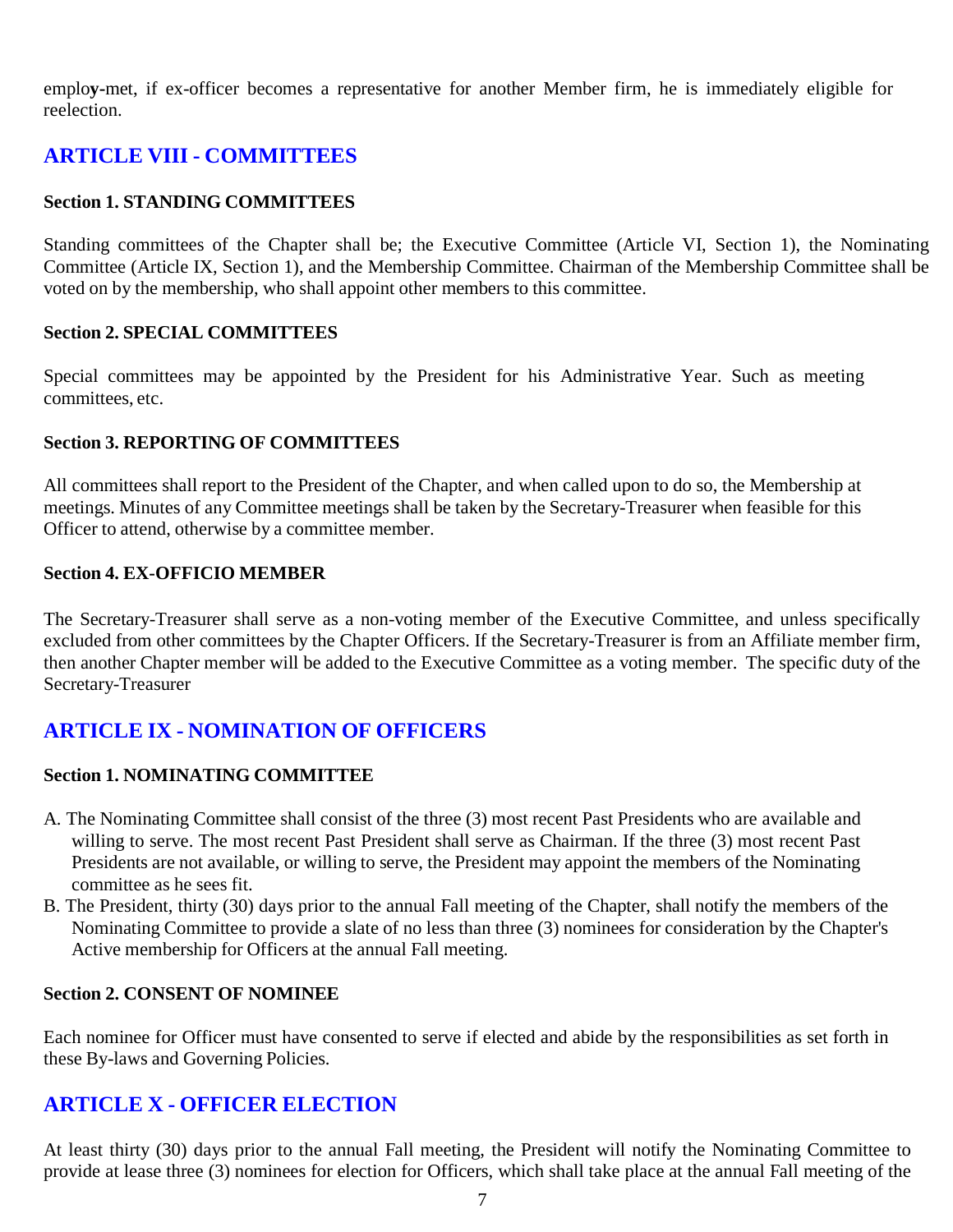emplo**y-**met, if ex-officer becomes a representative for another Member firm, he is immediately eligible for reelection.

## **ARTICLE VIII - COMMITTEES**

#### **Section 1. STANDING COMMITTEES**

Standing committees of the Chapter shall be; the Executive Committee (Article VI, Section 1), the Nominating Committee (Article IX, Section 1), and the Membership Committee. Chairman of the Membership Committee shall be voted on by the membership, who shall appoint other members to this committee.

#### **Section 2. SPECIAL COMMITTEES**

Special committees may be appointed by the President for his Administrative Year. Such as meeting committees, etc.

#### **Section 3. REPORTING OF COMMITTEES**

All committees shall report to the President of the Chapter, and when called upon to do so, the Membership at meetings. Minutes of any Committee meetings shall be taken by the Secretary-Treasurer when feasible for this Officer to attend, otherwise by a committee member.

#### **Section 4. EX-OFFICIO MEMBER**

The Secretary-Treasurer shall serve as a non-voting member of the Executive Committee, and unless specifically excluded from other committees by the Chapter Officers. If the Secretary-Treasurer is from an Affiliate member firm, then another Chapter member will be added to the Executive Committee as a voting member. The specific duty of the Secretary-Treasurer

## **ARTICLE IX - NOMINATION OF OFFICERS**

#### **Section 1. NOMINATING COMMITTEE**

- A. The Nominating Committee shall consist of the three (3) most recent Past Presidents who are available and willing to serve. The most recent Past President shall serve as Chairman. If the three (3) most recent Past Presidents are not available, or willing to serve, the President may appoint the members of the Nominating committee as he sees fit.
- B. The President, thirty (30) days prior to the annual Fall meeting of the Chapter, shall notify the members of the Nominating Committee to provide a slate of no less than three (3) nominees for consideration by the Chapter's Active membership for Officers at the annual Fall meeting.

#### **Section 2. CONSENT OF NOMINEE**

Each nominee for Officer must have consented to serve if elected and abide by the responsibilities as set forth in these By-laws and Governing Policies.

## **ARTICLE X - OFFICER ELECTION**

At least thirty (30) days prior to the annual Fall meeting, the President will notify the Nominating Committee to provide at lease three (3) nominees for election for Officers, which shall take place at the annual Fall meeting of the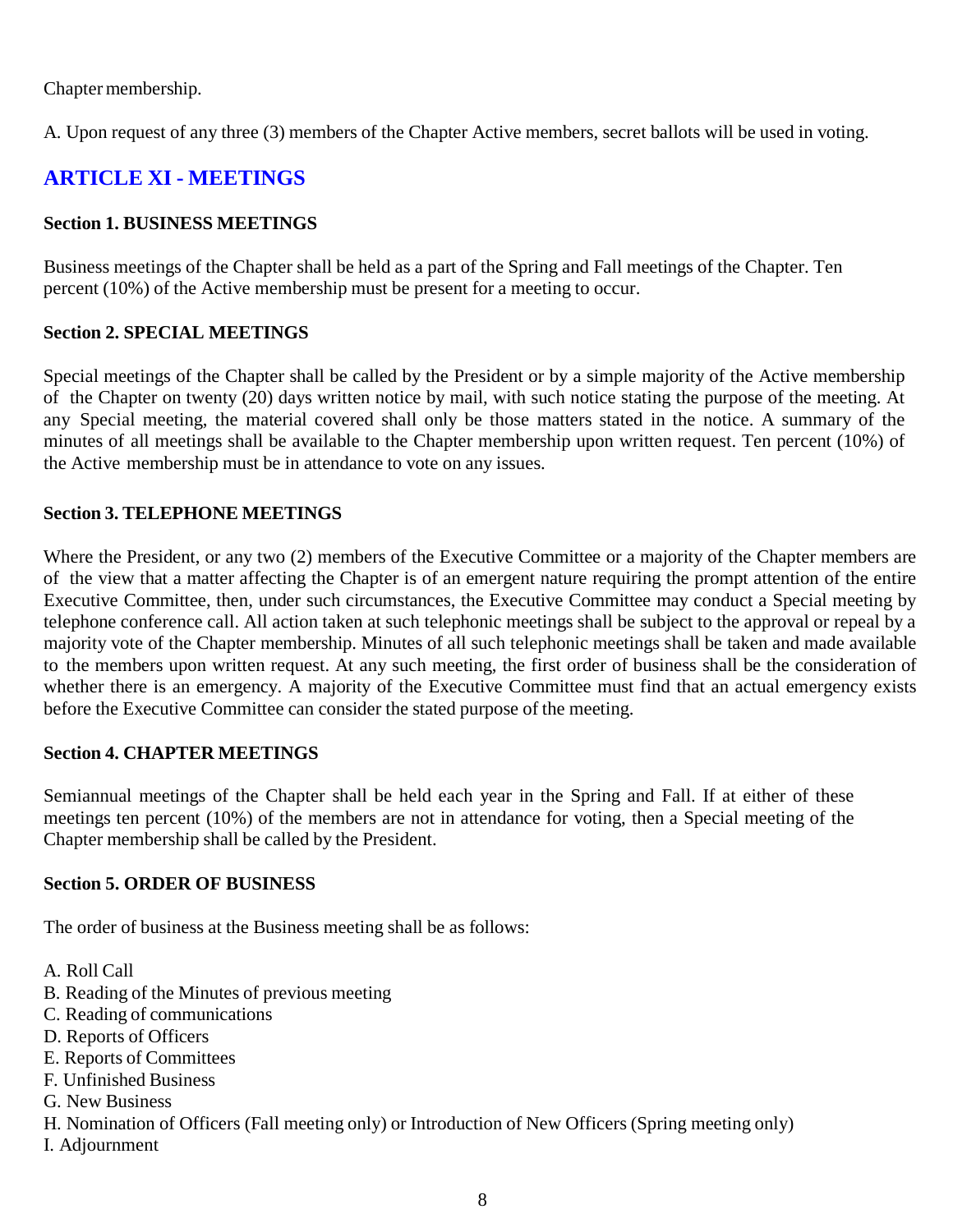Chapter membership.

A. Upon request of any three (3) members of the Chapter Active members, secret ballots will be used in voting.

## **ARTICLE XI - MEETINGS**

## **Section 1. BUSINESS MEETINGS**

Business meetings of the Chapter shall be held as a part of the Spring and Fall meetings of the Chapter. Ten percent (10%) of the Active membership must be present for a meeting to occur.

## **Section 2. SPECIAL MEETINGS**

Special meetings of the Chapter shall be called by the President or by a simple majority of the Active membership of the Chapter on twenty (20) days written notice by mail, with such notice stating the purpose of the meeting. At any Special meeting, the material covered shall only be those matters stated in the notice. A summary of the minutes of all meetings shall be available to the Chapter membership upon written request. Ten percent (10%) of the Active membership must be in attendance to vote on any issues.

## **Section 3. TELEPHONE MEETINGS**

Where the President, or any two (2) members of the Executive Committee or a majority of the Chapter members are of the view that a matter affecting the Chapter is of an emergent nature requiring the prompt attention of the entire Executive Committee, then, under such circumstances, the Executive Committee may conduct a Special meeting by telephone conference call. All action taken at such telephonic meetings shall be subject to the approval or repeal by a majority vote of the Chapter membership. Minutes of all such telephonic meetings shall be taken and made available to the members upon written request. At any such meeting, the first order of business shall be the consideration of whether there is an emergency. A majority of the Executive Committee must find that an actual emergency exists before the Executive Committee can consider the stated purpose of the meeting.

## **Section 4. CHAPTER MEETINGS**

Semiannual meetings of the Chapter shall be held each year in the Spring and Fall. If at either of these meetings ten percent (10%) of the members are not in attendance for voting, then a Special meeting of the Chapter membership shall be called by the President.

## **Section 5. ORDER OF BUSINESS**

The order of business at the Business meeting shall be as follows:

- A. Roll Call
- B. Reading of the Minutes of previous meeting
- C. Reading of communications
- D. Reports of Officers
- E. Reports of Committees
- F. Unfinished Business
- G. New Business
- H. Nomination of Officers (Fall meeting only) or Introduction of New Officers (Spring meeting only)
- I. Adjournment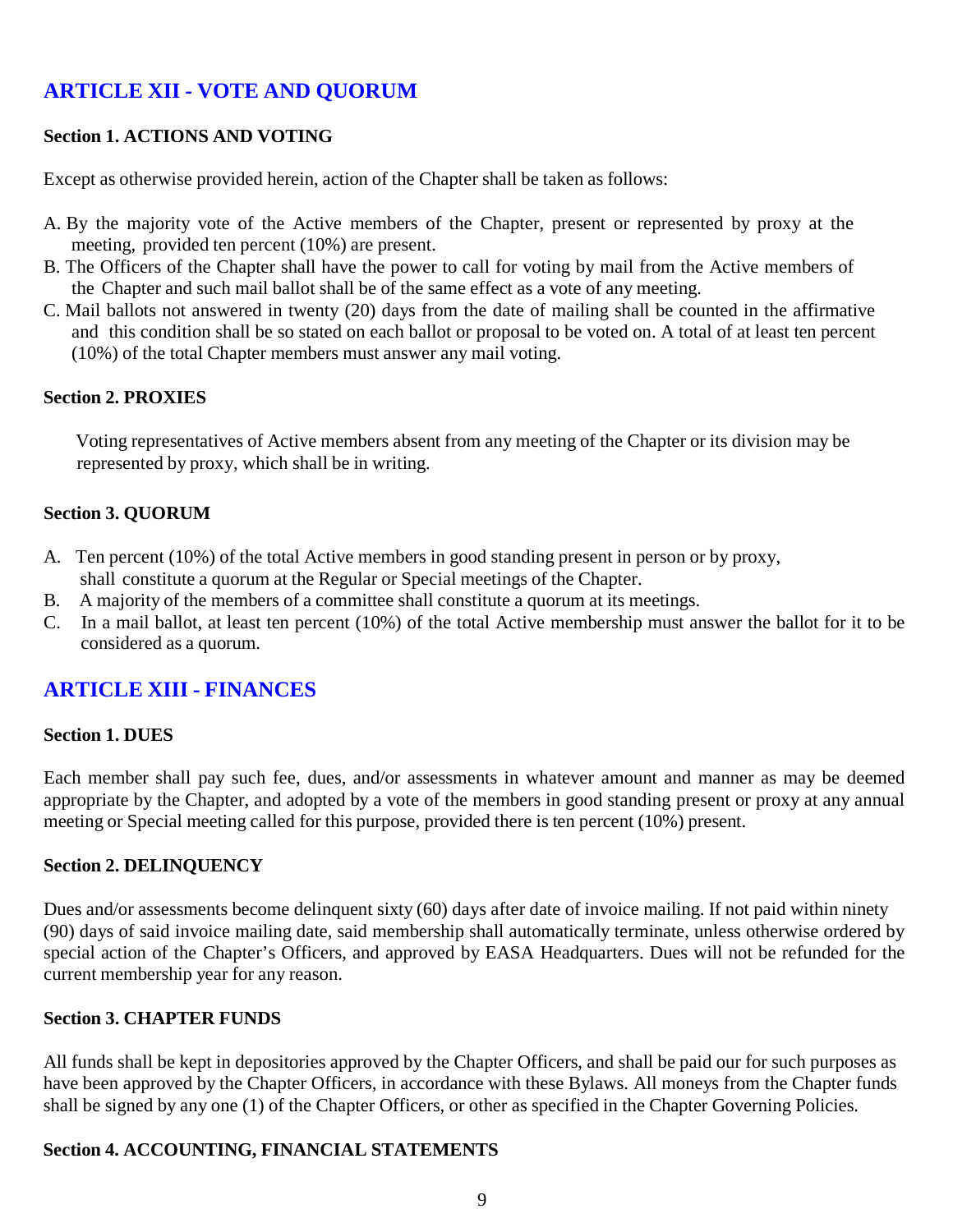## **ARTICLE XII - VOTE AND QUORUM**

### **Section 1. ACTIONS AND VOTING**

Except as otherwise provided herein, action of the Chapter shall be taken as follows:

- A. By the majority vote of the Active members of the Chapter, present or represented by proxy at the meeting, provided ten percent (10%) are present.
- B. The Officers of the Chapter shall have the power to call for voting by mail from the Active members of the Chapter and such mail ballot shall be of the same effect as a vote of any meeting.
- C. Mail ballots not answered in twenty (20) days from the date of mailing shall be counted in the affirmative and this condition shall be so stated on each ballot or proposal to be voted on. A total of at least ten percent (10%) of the total Chapter members must answer any mail voting.

#### **Section 2. PROXIES**

 Voting representatives of Active members absent from any meeting of the Chapter or its division may be represented by proxy, which shall be in writing.

#### **Section 3. QUORUM**

- A. Ten percent (10%) of the total Active members in good standing present in person or by proxy, shall constitute a quorum at the Regular or Special meetings of the Chapter.
- B. A majority of the members of a committee shall constitute a quorum at its meetings.
- C. In a mail ballot, at least ten percent (10%) of the total Active membership must answer the ballot for it to be considered as a quorum.

## **ARTICLE XIII - FINANCES**

#### **Section 1. DUES**

Each member shall pay such fee, dues, and/or assessments in whatever amount and manner as may be deemed appropriate by the Chapter, and adopted by a vote of the members in good standing present or proxy at any annual meeting or Special meeting called for this purpose, provided there is ten percent (10%) present.

#### **Section 2. DELINQUENCY**

Dues and/or assessments become delinquent sixty (60) days after date of invoice mailing. If not paid within ninety (90) days of said invoice mailing date, said membership shall automatically terminate, unless otherwise ordered by special action of the Chapter's Officers, and approved by EASA Headquarters. Dues will not be refunded for the current membership year for any reason.

#### **Section 3. CHAPTER FUNDS**

All funds shall be kept in depositories approved by the Chapter Officers, and shall be paid our for such purposes as have been approved by the Chapter Officers, in accordance with these Bylaws. All moneys from the Chapter funds shall be signed by any one (1) of the Chapter Officers, or other as specified in the Chapter Governing Policies.

#### **Section 4. ACCOUNTING, FINANCIAL STATEMENTS**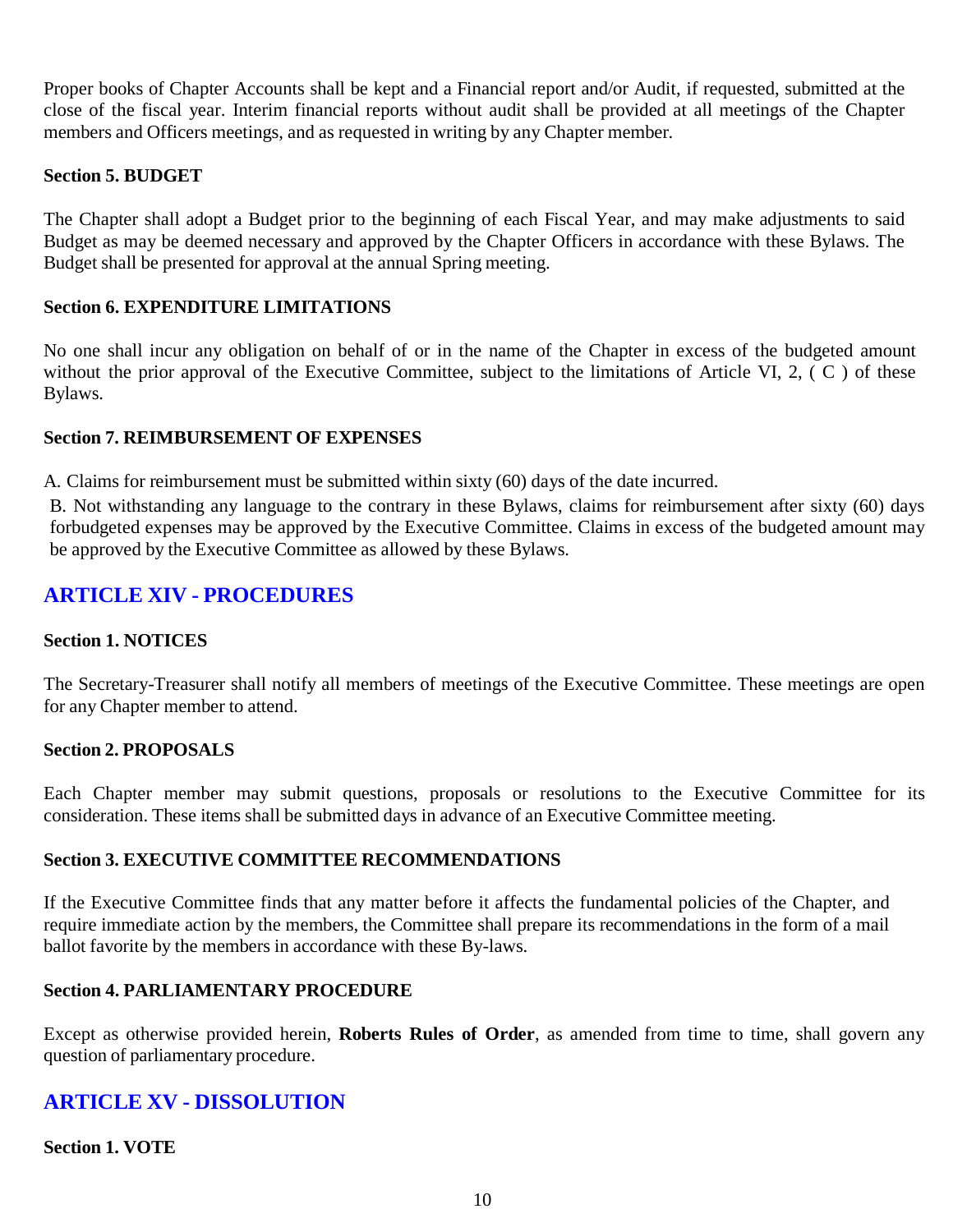Proper books of Chapter Accounts shall be kept and a Financial report and/or Audit, if requested, submitted at the close of the fiscal year. Interim financial reports without audit shall be provided at all meetings of the Chapter members and Officers meetings, and as requested in writing by any Chapter member.

## **Section 5. BUDGET**

The Chapter shall adopt a Budget prior to the beginning of each Fiscal Year, and may make adjustments to said Budget as may be deemed necessary and approved by the Chapter Officers in accordance with these Bylaws. The Budget shall be presented for approval at the annual Spring meeting.

## **Section 6. EXPENDITURE LIMITATIONS**

No one shall incur any obligation on behalf of or in the name of the Chapter in excess of the budgeted amount without the prior approval of the Executive Committee, subject to the limitations of Article VI, 2, (C) of these Bylaws.

## **Section 7. REIMBURSEMENT OF EXPENSES**

A. Claims for reimbursement must be submitted within sixty (60) days of the date incurred.

B. Not withstanding any language to the contrary in these Bylaws, claims for reimbursement after sixty (60) days forbudgeted expenses may be approved by the Executive Committee. Claims in excess of the budgeted amount may be approved by the Executive Committee as allowed by these Bylaws.

## **ARTICLE XIV - PROCEDURES**

## **Section 1. NOTICES**

The Secretary-Treasurer shall notify all members of meetings of the Executive Committee. These meetings are open for any Chapter member to attend.

## **Section 2. PROPOSALS**

Each Chapter member may submit questions, proposals or resolutions to the Executive Committee for its consideration. These items shall be submitted days in advance of an Executive Committee meeting.

## **Section 3. EXECUTIVE COMMITTEE RECOMMENDATIONS**

If the Executive Committee finds that any matter before it affects the fundamental policies of the Chapter, and require immediate action by the members, the Committee shall prepare its recommendations in the form of a mail ballot favorite by the members in accordance with these By-laws.

## **Section 4. PARLIAMENTARY PROCEDURE**

Except as otherwise provided herein, **Roberts Rules of Order**, as amended from time to time, shall govern any question of parliamentary procedure.

## **ARTICLE XV - DISSOLUTION**

## **Section 1. VOTE**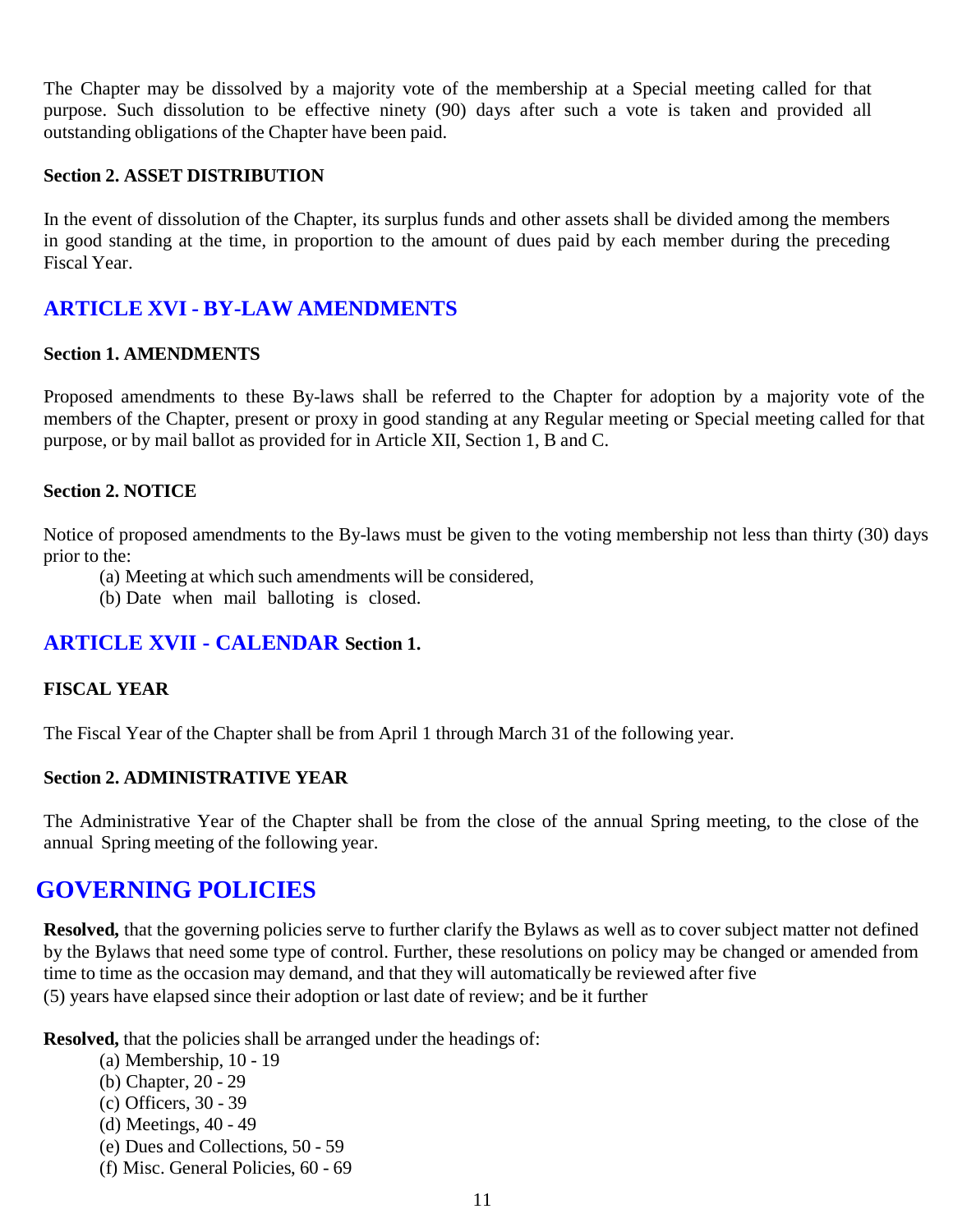The Chapter may be dissolved by a majority vote of the membership at a Special meeting called for that purpose. Such dissolution to be effective ninety (90) days after such a vote is taken and provided all outstanding obligations of the Chapter have been paid.

#### **Section 2. ASSET DISTRIBUTION**

In the event of dissolution of the Chapter, its surplus funds and other assets shall be divided among the members in good standing at the time, in proportion to the amount of dues paid by each member during the preceding Fiscal Year.

## **ARTICLE XVI - BY-LAW AMENDMENTS**

#### **Section 1. AMENDMENTS**

Proposed amendments to these By-laws shall be referred to the Chapter for adoption by a majority vote of the members of the Chapter, present or proxy in good standing at any Regular meeting or Special meeting called for that purpose, or by mail ballot as provided for in Article XII, Section 1, B and C.

#### **Section 2. NOTICE**

Notice of proposed amendments to the By-laws must be given to the voting membership not less than thirty (30) days prior to the:

- (a) Meeting at which such amendments will be considered,
- (b) Date when mail balloting is closed.

## **ARTICLE XVII - CALENDAR Section 1.**

## **FISCAL YEAR**

The Fiscal Year of the Chapter shall be from April 1 through March 31 of the following year.

#### **Section 2. ADMINISTRATIVE YEAR**

The Administrative Year of the Chapter shall be from the close of the annual Spring meeting, to the close of the annual Spring meeting of the following year.

## **GOVERNING POLICIES**

**Resolved,** that the governing policies serve to further clarify the Bylaws as well as to cover subject matter not defined by the Bylaws that need some type of control. Further, these resolutions on policy may be changed or amended from time to time as the occasion may demand, and that they will automatically be reviewed after five (5) years have elapsed since their adoption or last date of review; and be it further

**Resolved,** that the policies shall be arranged under the headings of:

- (a) Membership, 10 19
- (b) Chapter, 20 29
- (c) Officers, 30 39
- (d) Meetings, 40 49
- (e) Dues and Collections, 50 59
- (f) Misc. General Policies, 60 69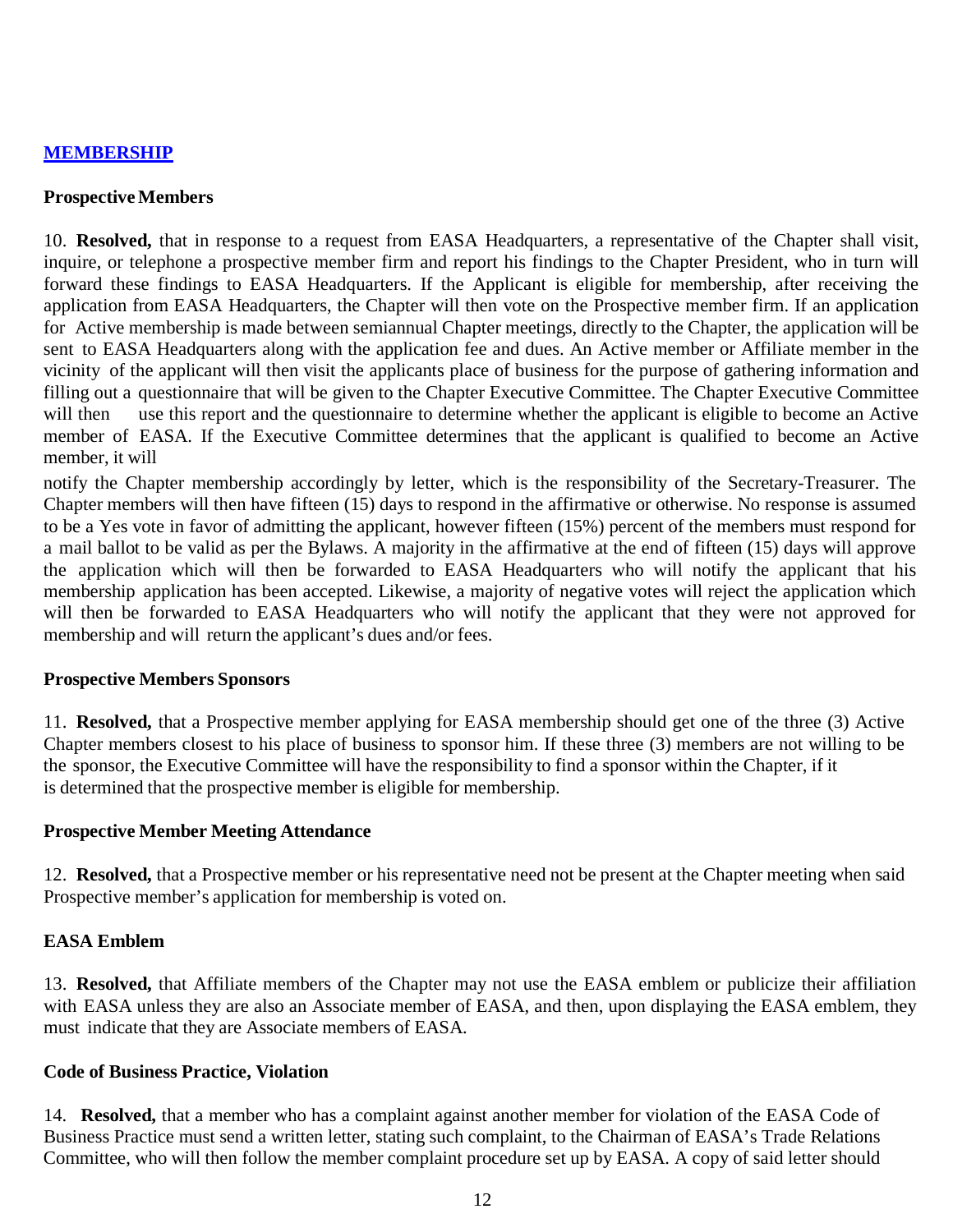#### **MEMBERSHIP**

#### **ProspectiveMembers**

10. **Resolved,** that in response to a request from EASA Headquarters, a representative of the Chapter shall visit, inquire, or telephone a prospective member firm and report his findings to the Chapter President, who in turn will forward these findings to EASA Headquarters. If the Applicant is eligible for membership, after receiving the application from EASA Headquarters, the Chapter will then vote on the Prospective member firm. If an application for Active membership is made between semiannual Chapter meetings, directly to the Chapter, the application will be sent to EASA Headquarters along with the application fee and dues. An Active member or Affiliate member in the vicinity of the applicant will then visit the applicants place of business for the purpose of gathering information and filling out a questionnaire that will be given to the Chapter Executive Committee. The Chapter Executive Committee will then use this report and the questionnaire to determine whether the applicant is eligible to become an Active member of EASA. If the Executive Committee determines that the applicant is qualified to become an Active member, it will

notify the Chapter membership accordingly by letter, which is the responsibility of the Secretary-Treasurer. The Chapter members will then have fifteen (15) days to respond in the affirmative or otherwise. No response is assumed to be a Yes vote in favor of admitting the applicant, however fifteen (15%) percent of the members must respond for a mail ballot to be valid as per the Bylaws. A majority in the affirmative at the end of fifteen (15) days will approve the application which will then be forwarded to EASA Headquarters who will notify the applicant that his membership application has been accepted. Likewise, a majority of negative votes will reject the application which will then be forwarded to EASA Headquarters who will notify the applicant that they were not approved for membership and will return the applicant's dues and/or fees.

#### **Prospective Members Sponsors**

11. **Resolved,** that a Prospective member applying for EASA membership should get one of the three (3) Active Chapter members closest to his place of business to sponsor him. If these three (3) members are not willing to be the sponsor, the Executive Committee will have the responsibility to find a sponsor within the Chapter, if it is determined that the prospective member is eligible for membership.

#### **Prospective Member Meeting Attendance**

12. **Resolved,** that a Prospective member or his representative need not be present at the Chapter meeting when said Prospective member's application for membership is voted on.

#### **EASA Emblem**

13. **Resolved,** that Affiliate members of the Chapter may not use the EASA emblem or publicize their affiliation with EASA unless they are also an Associate member of EASA, and then, upon displaying the EASA emblem, they must indicate that they are Associate members of EASA.

#### **Code of Business Practice, Violation**

14. **Resolved,** that a member who has a complaint against another member for violation of the EASA Code of Business Practice must send a written letter, stating such complaint, to the Chairman of EASA's Trade Relations Committee, who will then follow the member complaint procedure set up by EASA. A copy of said letter should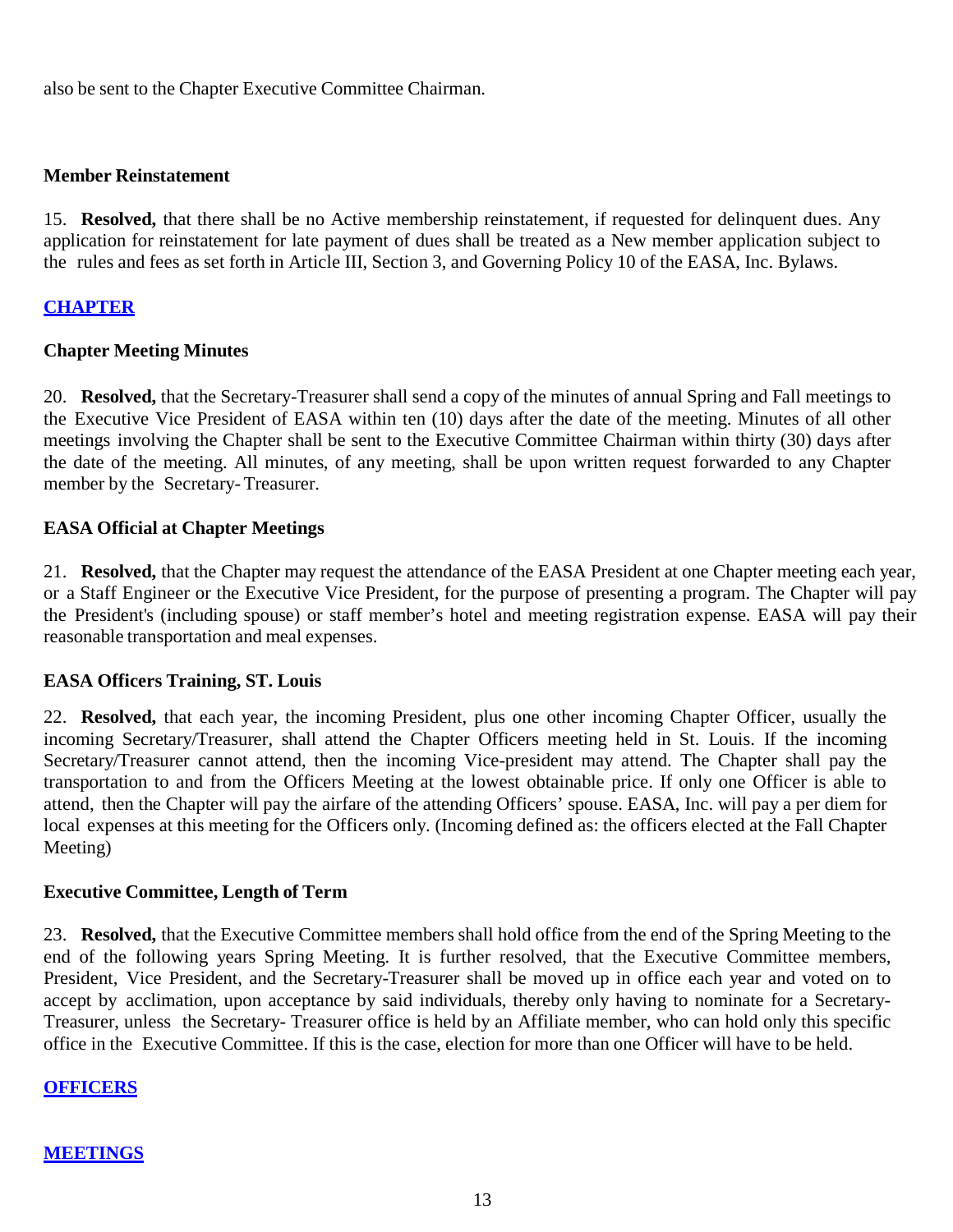also be sent to the Chapter Executive Committee Chairman.

#### **Member Reinstatement**

15. **Resolved,** that there shall be no Active membership reinstatement, if requested for delinquent dues. Any application for reinstatement for late payment of dues shall be treated as a New member application subject to the rules and fees as set forth in Article III, Section 3, and Governing Policy 10 of the EASA, Inc. Bylaws.

#### **CHAPTER**

### **Chapter Meeting Minutes**

20. **Resolved,** that the Secretary-Treasurer shall send a copy of the minutes of annual Spring and Fall meetings to the Executive Vice President of EASA within ten (10) days after the date of the meeting. Minutes of all other meetings involving the Chapter shall be sent to the Executive Committee Chairman within thirty (30) days after the date of the meeting. All minutes, of any meeting, shall be upon written request forwarded to any Chapter member by the Secretary-Treasurer.

#### **EASA Official at Chapter Meetings**

21. **Resolved,** that the Chapter may request the attendance of the EASA President at one Chapter meeting each year, or a Staff Engineer or the Executive Vice President, for the purpose of presenting a program. The Chapter will pay the President's (including spouse) or staff member's hotel and meeting registration expense. EASA will pay their reasonable transportation and meal expenses.

#### **EASA Officers Training, ST. Louis**

22. **Resolved,** that each year, the incoming President, plus one other incoming Chapter Officer, usually the incoming Secretary/Treasurer, shall attend the Chapter Officers meeting held in St. Louis. If the incoming Secretary/Treasurer cannot attend, then the incoming Vice-president may attend. The Chapter shall pay the transportation to and from the Officers Meeting at the lowest obtainable price. If only one Officer is able to attend, then the Chapter will pay the airfare of the attending Officers' spouse. EASA, Inc. will pay a per diem for local expenses at this meeting for the Officers only. (Incoming defined as: the officers elected at the Fall Chapter Meeting)

#### **Executive Committee, Length of Term**

23. **Resolved,** that the Executive Committee members shall hold office from the end of the Spring Meeting to the end of the following years Spring Meeting. It is further resolved, that the Executive Committee members, President, Vice President, and the Secretary-Treasurer shall be moved up in office each year and voted on to accept by acclimation, upon acceptance by said individuals, thereby only having to nominate for a Secretary-Treasurer, unless the Secretary- Treasurer office is held by an Affiliate member, who can hold only this specific office in the Executive Committee. If this is the case, election for more than one Officer will have to be held.

#### **OFFICERS**

#### **MEETINGS**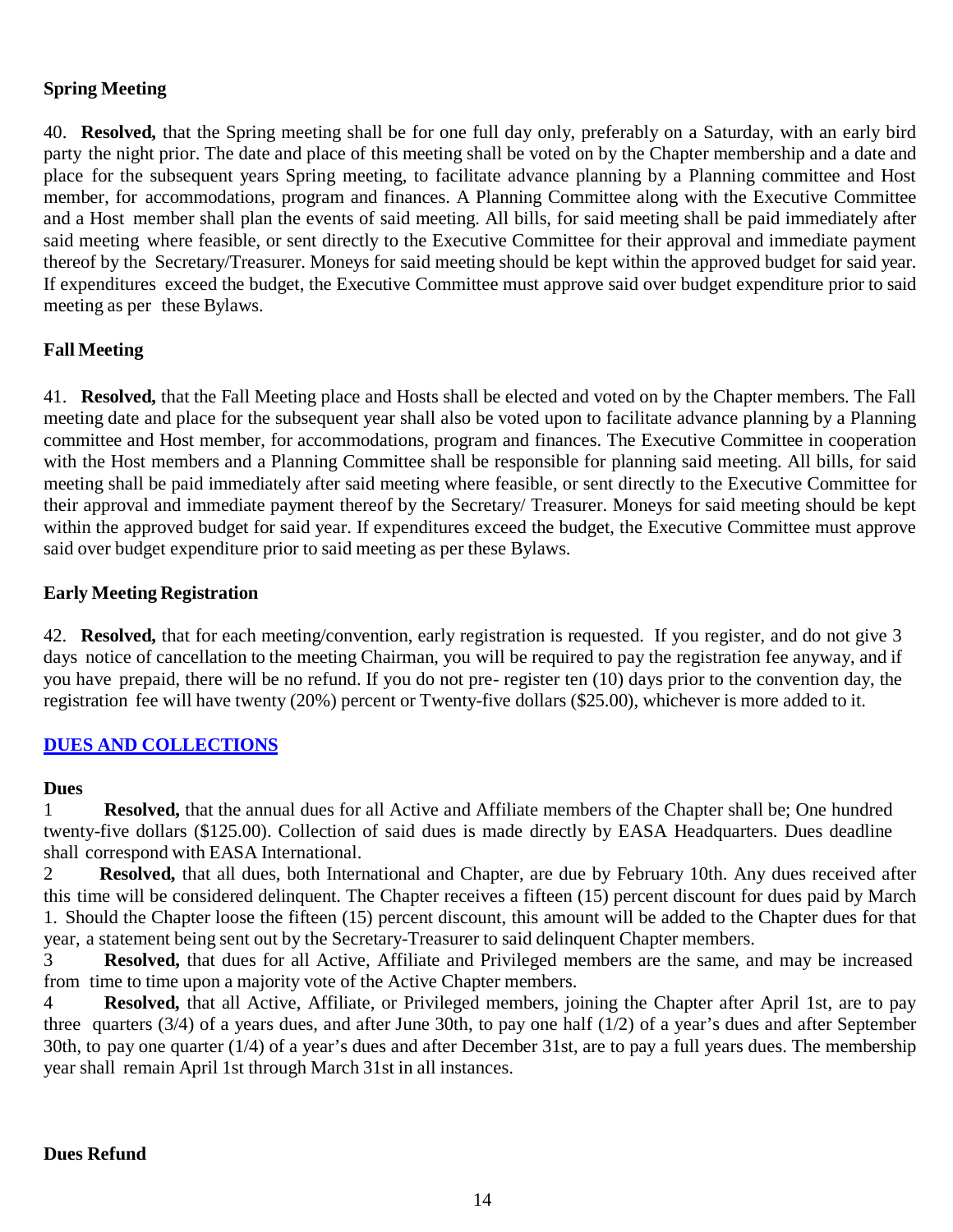## **Spring Meeting**

40. **Resolved,** that the Spring meeting shall be for one full day only, preferably on a Saturday, with an early bird party the night prior. The date and place of this meeting shall be voted on by the Chapter membership and a date and place for the subsequent years Spring meeting, to facilitate advance planning by a Planning committee and Host member, for accommodations, program and finances. A Planning Committee along with the Executive Committee and a Host member shall plan the events of said meeting. All bills, for said meeting shall be paid immediately after said meeting where feasible, or sent directly to the Executive Committee for their approval and immediate payment thereof by the Secretary/Treasurer. Moneys for said meeting should be kept within the approved budget for said year. If expenditures exceed the budget, the Executive Committee must approve said over budget expenditure prior to said meeting as per these Bylaws.

## **Fall Meeting**

41. **Resolved,** that the Fall Meeting place and Hosts shall be elected and voted on by the Chapter members. The Fall meeting date and place for the subsequent year shall also be voted upon to facilitate advance planning by a Planning committee and Host member, for accommodations, program and finances. The Executive Committee in cooperation with the Host members and a Planning Committee shall be responsible for planning said meeting. All bills, for said meeting shall be paid immediately after said meeting where feasible, or sent directly to the Executive Committee for their approval and immediate payment thereof by the Secretary/ Treasurer. Moneys for said meeting should be kept within the approved budget for said year. If expenditures exceed the budget, the Executive Committee must approve said over budget expenditure prior to said meeting as per these Bylaws.

## **Early Meeting Registration**

42. **Resolved,** that for each meeting/convention, early registration is requested. If you register, and do not give 3 days notice of cancellation to the meeting Chairman, you will be required to pay the registration fee anyway, and if you have prepaid, there will be no refund. If you do not pre- register ten (10) days prior to the convention day, the registration fee will have twenty (20%) percent or Twenty-five dollars (\$25.00), whichever is more added to it.

## **DUES AND COLLECTIONS**

#### **Dues**

1 **Resolved,** that the annual dues for all Active and Affiliate members of the Chapter shall be; One hundred twenty-five dollars (\$125.00). Collection of said dues is made directly by EASA Headquarters. Dues deadline shall correspond with EASA International.

2 **Resolved,** that all dues, both International and Chapter, are due by February 10th. Any dues received after this time will be considered delinquent. The Chapter receives a fifteen (15) percent discount for dues paid by March 1. Should the Chapter loose the fifteen (15) percent discount, this amount will be added to the Chapter dues for that year, a statement being sent out by the Secretary-Treasurer to said delinquent Chapter members.

3 **Resolved,** that dues for all Active, Affiliate and Privileged members are the same, and may be increased from time to time upon a majority vote of the Active Chapter members.

4 **Resolved,** that all Active, Affiliate, or Privileged members, joining the Chapter after April 1st, are to pay three quarters (3/4) of a years dues, and after June 30th, to pay one half (1/2) of a year's dues and after September 30th, to pay one quarter (1/4) of a year's dues and after December 31st, are to pay a full years dues. The membership year shall remain April 1st through March 31st in all instances.